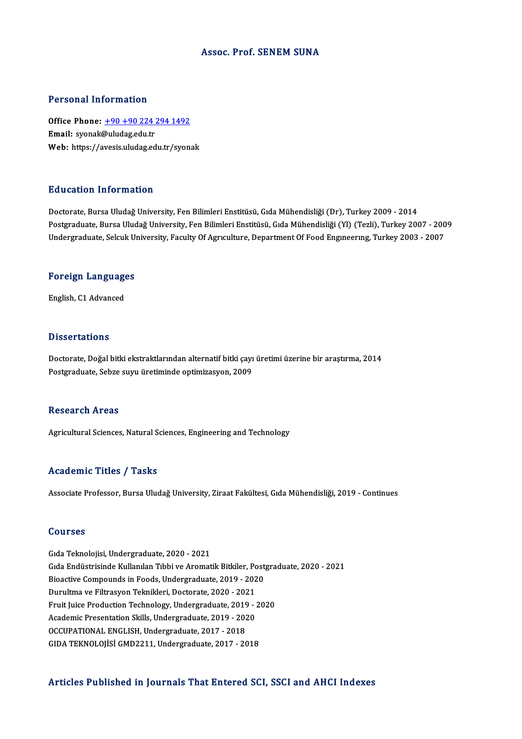#### Assoc. Prof. SENEM SUNA

#### Personal Information

Personal Information<br>Office Phone: <u>+90 +90 224 294 1492</u><br>Email: svensk@uludag.edu.tr Processing internation<br>Office Phone:  $\pm 90 + 90224$ <br>Email: syonak@uludag.edu.tr Office Phone: <u>+90 +90 224 294 1492</u><br>Email: syonak@uludag.edu.tr<br>Web: https://a[vesis.uludag.edu.tr/syon](tel:+90 +90 224 294 1492)ak Web: https://avesis.uludag.edu.tr/syonak<br>Education Information

Doctorate, Bursa Uludağ University, Fen Bilimleri Enstitüsü, Gıda Mühendisliği (Dr), Turkey 2009 - 2014 Pu u sutron "Inton Inturon"<br>Doctorate, Bursa Uludağ University, Fen Bilimleri Enstitüsü, Gıda Mühendisliği (Dr), Turkey 2009 - 2014<br>Postgraduate, Bursa Uludağ University, Fen Bilimleri Enstitüsü, Gıda Mühendisliği (Yl) (Te Doctorate, Bursa Uludağ University, Fen Bilimleri Enstitüsü, Gıda Mühendisliği (Dr), Turkey 2009 - 2014<br>Postgraduate, Bursa Uludağ University, Fen Bilimleri Enstitüsü, Gıda Mühendisliği (Yl) (Tezli), Turkey 2007 - 200<br>Unde

## <sub>Undergraduate, Selcuk Ul</sub><br>Foreign Languages F<mark>oreign Languag</mark>e<br>English, C1 Advanced

English, C1 Advanced<br>Dissertations

Dissertations<br>Doctorate, Doğal bitki ekstraktlarından alternatif bitki çayı üretimi üzerine bir araştırma, 2014<br>Postsraduata Sobre suru üretiminde ontimizerren, 2009 Bassea tatrome<br>Doctorate, Doğal bitki ekstraktlarından alternatif bitki çayı<br>Postgraduate, Sebze suyu üretiminde optimizasyon, 2009 Postgraduate, Sebze suyu üretiminde optimizasyon, 2009<br>Research Areas

Agricultural Sciences, Natural Sciences, Engineering and Technology

#### Academic Titles / Tasks

Associate Professor, Bursa Uludağ University, Ziraat Fakültesi, Gıda Mühendisliği, 2019 - Continues

#### Courses

GıdaTeknolojisi,Undergraduate,2020 -2021 GıdaEndüstrisindeKulanılanTıbbiveAromatikBitkiler,Postgraduate,2020 -2021 Bioactive Compounds in Foods, Undergraduate, 2019 - 2020 Gıda Endüstrisinde Kullanılan Tıbbi ve Aromatik Bitkiler, Po<br>Bioactive Compounds in Foods, Undergraduate, 2019 - 202<br>Durultma ve Filtrasyon Teknikleri, Doctorate, 2020 - 2021<br>Enuit Juice Produation Technology, Undergraduat Bioactive Compounds in Foods, Undergraduate, 2019 - 2020<br>Durultma ve Filtrasyon Teknikleri, Doctorate, 2020 - 2021<br>Fruit Juice Production Technology, Undergraduate, 2019 - 2020<br>Academia Presentation Skills Undergraduate, 2 Durultma ve Filtrasyon Teknikleri, Doctorate, 2020 - 2021<br>Fruit Juice Production Technology, Undergraduate, 2019 - 2020<br>Academic Presentation Skills, Undergraduate, 2019 - 2020<br>OCCURATIONAL ENCLISH, Undergraduate, 2017 - 2 Fruit Juice Production Technology, Undergraduate, 2019<br>Academic Presentation Skills, Undergraduate, 2019 - 202<br>OCCUPATIONAL ENGLISH, Undergraduate, 2017 - 2018<br>CIDA TEKNOLOUSI CMD2211, Undergraduate, 2017 - 20 Academic Presentation Skills, Undergraduate, 2019 - 2020<br>OCCUPATIONAL ENGLISH, Undergraduate, 2017 - 2018<br>GIDA TEKNOLOJİSİ GMD2211, Undergraduate, 2017 - 2018

#### Articles Published in Journals That Entered SCI, SSCI and AHCI Indexes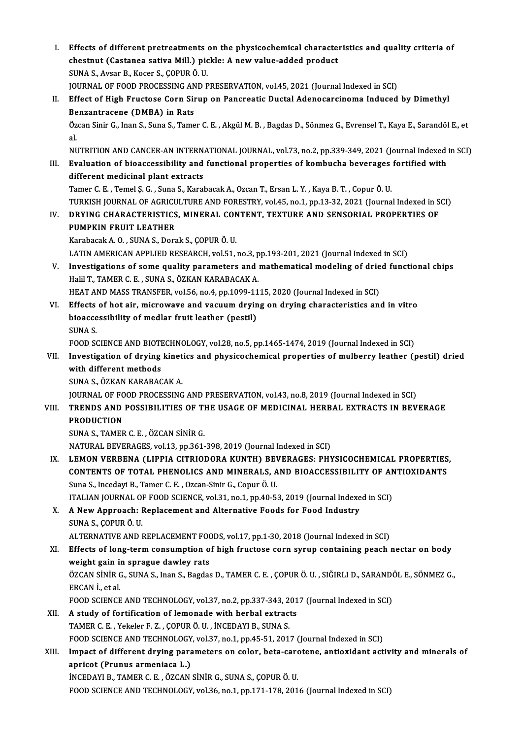I. Effects of different pretreatments on the physicochemical characteristics and quality criteria of Effects of different pretreatments on the physicochemical characte:<br>chestnut (Castanea sativa Mill.) pickle: A new value-added product Effects of different pretreatments<br>chestnut (Castanea sativa Mill.) pic<br>SUNA S., Avsar B., Kocer S., ÇOPUR Ö. U.<br>JOUPNAL OF FOOD PROCESSING AND R chestnut (Castanea sativa Mill.) pickle: A new value-added product<br>SUNA S., Avsar B., Kocer S., ÇOPUR Ö. U.<br>JOURNAL OF FOOD PROCESSING AND PRESERVATION, vol.45, 2021 (Journal Indexed in SCI)<br>Effect of High Enustage Corn Si SUNA S., Avsar B., Kocer S., ÇOPUR Ö. U.<br>JOURNAL OF FOOD PROCESSING AND PRESERVATION, vol.45, 2021 (Journal Indexed in SCI)<br>II. Effect of High Fructose Corn Sirup on Pancreatic Ductal Adenocarcinoma Induced by Dimethyl<br>Ben JOURNAL OF FOOD PROCESSING AN<br>Effect of High Fructose Corn Sin<br>Benzantracene (DMBA) in Rats<br>Özen Sinir C, Inan S, Suna S, Tame Özcan Sinir G., Inan S., Suna S., Tamer C. E. , Akgül M. B. , Bagdas D., Sönmez G., Evrensel T., Kaya E., Sarandöl E., et<br>al. **Be**<br>Öz<br>al Özcan Sinir G., Inan S., Suna S., Tamer C. E. , Akgül M. B. , Bagdas D., Sönmez G., Evrensel T., Kaya E., Sarandöl E., et<br>al.<br>NUTRITION AND CANCER-AN INTERNATIONAL JOURNAL, vol.73, no.2, pp.339-349, 2021 (Journal Indexed i al.<br>NUTRITION AND CANCER-AN INTERNATIONAL JOURNAL, vol.73, no.2, pp.339-349, 2021 (Journal Indexed<br>III. Evaluation of bioaccessibility and functional properties of kombucha beverages fortified with<br>different medicinal NUTRITION AND CANCER-AN INTERN.<br>Evaluation of bioaccessibility and<br>different medicinal plant extracts<br>Tamor C.E., Tamol S.C., Suna S. Karal Evaluation of bioaccessibility and functional properties of kombucha beverages<br>different medicinal plant extracts<br>Tamer C. E. , Temel Ș. G. , Suna S., Karabacak A., Ozcan T., Ersan L. Y. , Kaya B. T. , Copur Ö. U.<br>TURKISH different medicinal plant extracts<br>Tamer C. E. , Temel Ş. G. , Suna S., Karabacak A., Ozcan T., Ersan L. Y. , Kaya B. T. , Copur Ö. U.<br>TURKISH JOURNAL OF AGRICULTURE AND FORESTRY, vol.45, no.1, pp.13-32, 2021 (Journal Inde Tamer C. E. , Temel Ş. G. , Suna S., Karabacak A., Ozcan T., Ersan L. Y. , Kaya B. T. , Copur Ö. U.<br>TURKISH JOURNAL OF AGRICULTURE AND FORESTRY, vol.45, no.1, pp.13-32, 2021 (Journal Indexed in S<br>IV. DRYING CHARACTERISTICS TURKISH JOURNAL OF AGRICU<br>DRYING CHARACTERISTICS<br>PUMPKIN FRUIT LEATHER<br>Karabasak A O - SUNA S - Dars DRYING CHARACTERISTICS, MINERAL CON<br>PUMPKIN FRUIT LEATHER<br>Karabacak A. O. , SUNA S., Dorak S., ÇOPUR Ö. U.<br>LATIN AMERICAN APRI JED RESEARCH .vol51 . PUMPKIN FRUIT LEATHER<br>Karabacak A. O. , SUNA S., Dorak S., ÇOPUR Ö. U.<br>LATIN AMERICAN APPLIED RESEARCH, vol.51, no.3, pp.193-201, 2021 (Journal Indexed in SCI)<br>Investigations of some quality persmaters and mathematical mod Karabacak A. O. , SUNA S., Dorak S., ÇOPUR Ö. U.<br>LATIN AMERICAN APPLIED RESEARCH, vol.51, no.3, pp.193-201, 2021 (Journal Indexed in SCI)<br>V. Investigations of some quality parameters and mathematical modeling of dried func LATIN AMERICAN APPLIED RESEARCH, vol.51, no.3, p<br>Investigations of some quality parameters and i<br>Halil T., TAMER C. E. , SUNA S., ÖZKAN KARABACAK A.<br>HEAT AND MASS TRANSEED .vol.56 no.4 nn.1000 11 Investigations of some quality parameters and mathematical modeling of drie<br>Halil T., TAMER C. E. , SUNA S., ÖZKAN KARABACAK A.<br>HEAT AND MASS TRANSFER, vol.56, no.4, pp.1099-1115, 2020 (Journal Indexed in SCI)<br>Effects of b Halil T., TAMER C. E. , SUNA S., ÖZKAN KARABACAK A.<br>HEAT AND MASS TRANSFER, vol.56, no.4, pp.1099-1115, 2020 (Journal Indexed in SCI)<br>VI. Effects of hot air, microwave and vacuum drying on drying characteristics and in vit HEAT AND MASS TRANSFER, vol.56, no.4, pp.1099-11<br>Effects of hot air, microwave and vacuum dryin<br>bioaccessibility of medlar fruit leather (pestil)<br>SINA S Effects<br>bioacce<br>SUNA S.<br>EOOD SC bioaccessibility of medlar fruit leather (pestil)<br>SUNA S.<br>FOOD SCIENCE AND BIOTECHNOLOGY, vol.28, no.5, pp.1465-1474, 2019 (Journal Indexed in SCI)<br>Investigation of duving kinetics and physicoshemical properties of mulheru SUNA S.<br>FOOD SCIENCE AND BIOTECHNOLOGY, vol.28, no.5, pp.1465-1474, 2019 (Journal Indexed in SCI)<br>VII. Investigation of drying kinetics and physicochemical properties of mulberry leather (pestil) dried<br>with different metho FOOD SCIENCE AND BIOTH<br>Investigation of drying<br>with different methods<br>SINA S. ÖZKAN KARARAC **Investigation of drying kinet<br>with different methods<br>SUNA S., ÖZKAN KARABACAK A.<br>JOUPNAL OF FOOD PROCESSING** with different methods<br>SUNA S., ÖZKAN KARABACAK A.<br>JOURNAL OF FOOD PROCESSING AND PRESERVATION, vol.43, no.8, 2019 (Journal Indexed in SCI) SUNA S., ÖZKAN KARABACAK A.<br>JOURNAL OF FOOD PROCESSING AND PRESERVATION, vol.43, no.8, 2019 (Journal Indexed in SCI)<br>VIII. TRENDS AND POSSIBILITIES OF THE USAGE OF MEDICINAL HERBAL EXTRACTS IN BEVERAGE<br>PRODUCTION **JOURNAL OF FO<br>TRENDS AND<br>PRODUCTION<br>SUNA S. TAMER** TRENDS AND POSSIBILITIES OF TI<br>PRODUCTION<br>SUNA S., TAMER C. E. , ÖZCAN SİNİR G.<br>NATUPAL PEVERACES vol 12. nn 261 PRODUCTION<br>SUNA S., TAMER C. E. , ÖZCAN SİNİR G.<br>NATURAL BEVERAGES, vol.13, pp.361-398, 2019 (Journal Indexed in SCI) SUNA S., TAMER C. E. , ÖZCAN SİNİR G.<br>NATURAL BEVERAGES, vol.13, pp.361-398, 2019 (Journal Indexed in SCI)<br>IX. LEMON VERBENA (LIPPIA CITRIODORA KUNTH) BEVERAGES: PHYSICOCHEMICAL PROPERTIES,<br>CONTENTS OF TOTAL PHENOLICS AND NATURAL BEVERAGES, vol.13, pp.361-398, 2019 (Journal Indexed in SCI)<br>LEMON VERBENA (LIPPIA CITRIODORA KUNTH) BEVERAGES: PHYSICOCHEMICAL PROPERTIES<br>CONTENTS OF TOTAL PHENOLICS AND MINERALS, AND BIOACCESSIBILITY OF ANTIOXIDA Suna S., Incedayi B., Tamer C. E. , Ozcan-Sinir G., Copur Ö. U.<br>ITALIAN JOURNAL OF FOOD SCIENCE, vol.31, no.1, pp.40-53, 2019 (Journal Indexed in SCI) CONTENTS OF TOTAL PHENOLICS AND MINERALS, AND BIOACCESSIBILITY OF ANTIOXIDANTS X. A NewApproach: Replacement and Alternative Foods for Food Industry SUNAS.,ÇOPURÖ.U. A New Approach: Replacement and Alternative Foods for Food Industry<br>SUNA S., ÇOPUR Ö. U.<br>ALTERNATIVE AND REPLACEMENT FOODS, vol.17, pp.1-30, 2018 (Journal Indexed in SCI)<br>Effects of lang term consumption of high frustess s XI. Effects of long-term consumption of high fructose corn syrup containing peach nectar on body weight gain in sprague dawley rats ALTERNATIVE AND REPLACEMENT FOOT<br>Effects of long-term consumption of<br>weight gain in sprague dawley rats<br>ÖZCAN S<sup>tNip</sup> C. SUNA S. Jpan S. Bagdas Effects of long-term consumption of high fructose corn syrup containing peach nectar on body<br>weight gain in sprague dawley rats<br>ÖZCAN SİNİR G., SUNA S., Inan S., Bagdas D., TAMER C. E. , ÇOPUR Ö. U. , SIĞIRLI D., SARANDÖL **weight gain in<br>ÖZCAN SİNİR C<br>ERCAN İ., et al.**<br>EQOD SCIENCE ÖZCAN SİNİR G., SUNA S., Inan S., Bagdas D., TAMER C. E. , ÇOPUR Ö. U. , SIĞIRLI D., SARANDO<br>ERCAN İ., et al.<br>FOOD SCIENCE AND TECHNOLOGY, vol.37, no.2, pp.337-343, 2017 (Journal Indexed in SCI)<br>A study of fortification of ERCAN İ., et al.<br>FOOD SCIENCE AND TECHNOLOGY, vol.37, no.2, pp.337-343, 201<br>XII. A study of fortification of lemonade with herbal extracts<br>TAMER C. E., Yekeler F. Z., ÇOPUR Ö. U., İNCEDAYI B., SUNA S. FOOD SCIENCE AND TECHNOLOGY, vol.37, no.2, pp.337-343, 2017 (Journal Indexed in SCI) A study of fortification of lemonade with herbal extracts<br>TAMER C. E. , Yekeler F. Z. , ÇOPUR Ö. U. , İNCEDAYI B., SUNA S.<br>FOOD SCIENCE AND TECHNOLOGY, vol.37, no.1, pp.45-51, 2017 (Journal Indexed in SCI)<br>Impect of differ TAMER C. E. , Yekeler F. Z. , ÇOPUR Ö. U. , İNCEDAYI B., SUNA S.<br>FOOD SCIENCE AND TECHNOLOGY, vol.37, no.1, pp.45-51, 2017 (Journal Indexed in SCI)<br>XIII. Impact of different drying parameters on color, beta-carotene, antio FOOD SCIENCE AND TECHNOLOGY<br>Impact of different drying para<br>apricot (Prunus armeniaca L.)<br>INCEDAVI P. TAMER C.E., ÖZCAN Impact of different drying parameters on color, beta-card<br>apricot (Prunus armeniaca L.)<br>İNCEDAYI B., TAMER C. E. , ÖZCAN SİNİR G., SUNA S., ÇOPUR Ö. U.<br>FOOD SCIENCE AND TECUNOLOCY .val 26 no.1 nn 171 179 201 apricot (Prunus armeniaca L.)<br>İNCEDAYI B., TAMER C. E. , ÖZCAN SİNİR G., SUNA S., ÇOPUR Ö. U.<br>FOOD SCIENCE AND TECHNOLOGY, vol.36, no.1, pp.171-178, 2016 (Journal Indexed in SCI)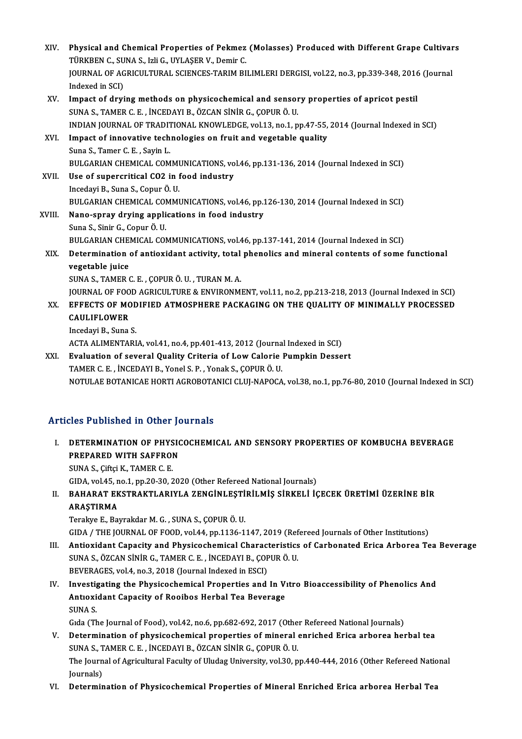XIV. Physical and Chemical Properties of Pekmez (Molasses) Produced with Different Grape Cultivars<br>THIPKREN G. SUNA S. Jok G. UVI ASER V. Domin G Physical and Chemical Properties of Pekmez<br>TÜRKBEN C., SUNA S., Izli G., UYLAŞER V., Demir C.<br>JOUPNAL OF ACRICULTURAL SCIENCES TARIM BL Physical and Chemical Properties of Pekmez (Molasses) Produced with Different Grape Cultivar<br>TÜRKBEN C., SUNA S., Izli G., UYLAŞER V., Demir C.<br>JOURNAL OF AGRICULTURAL SCIENCES-TARIM BILIMLERI DERGISI, vol.22, no.3, pp.339 TÜRKBEN C., SUNA S., Izli G., UYLAŞER V., Demir C.<br>JOURNAL OF AGRICULTURAL SCIENCES-TARIM BILIMLERI DERGISI, vol.22, no.3, pp.339-348, 2016 (Journal<br>Indexed in SCI) JOURNAL OF AGRICULTURAL SCIENCES-TARIM BILIMLERI DERGISI, vol.22, no.3, pp.339-348, 2016<br>Indexed in SCI)<br>XV. Impact of drying methods on physicochemical and sensory properties of apricot pestil<br>SUNA S. TAMER C.E. INCEDAVI Indexed in SCI)<br>Impact of drying methods on physicochemical and sensor<br>SUNA S., TAMER C. E. , İNCEDAYI B., ÖZCAN SİNİR G., ÇOPUR Ö. U.<br>INDIAN IQUPNAL OF TRADITIONAL KNOWLEDCE vel 13 no.1 n Impact of drying methods on physicochemical and sensory properties of apricot pestil<br>SUNA S., TAMER C. E. , İNCEDAYI B., ÖZCAN SİNİR G., ÇOPUR Ö. U.<br>INDIAN JOURNAL OF TRADITIONAL KNOWLEDGE, vol.13, no.1, pp.47-55, 2014 (Jo SUNA S., TAMER C. E. , INCEDAYI B., ÖZCAN SINIR G., ÇOPUR Ö. U.<br>INDIAN JOURNAL OF TRADITIONAL KNOWLEDGE, vol.13, no.1, pp.47-55,<br>XVI. Impact of innovative technologies on fruit and vegetable quality<br>Suna S., Tamer C. E., S INDIAN JOURNAL OF TRADIT<br>Impact of innovative tech<br>Suna S., Tamer C. E. , Sayin L.<br>PULCARIAN CHEMICAL COM Impact of innovative technologies on fruit and vegetable quality<br>Suna S., Tamer C. E. , Sayin L.<br>BULGARIAN CHEMICAL COMMUNICATIONS, vol.46, pp.131-136, 2014 (Journal Indexed in SCI)<br>Hee of sunoneritical CO2 in food industr Suna S., Tamer C. E., Sayin L.<br>BULGARIAN CHEMICAL COMMUNICATIONS, vo<br>XVII. Use of supercritical CO2 in food industry<br>Incedevi B. Suna S. Copyr Ö. U. BULGARIAN CHEMICAL COMMI<br>Use of supercritical CO2 in f<br>Incedayi B., Suna S., Copur Ö. U.<br>PULCARIAN CHEMICAL COMMI Use of supercritical CO2 in food industry<br>Incedayi B., Suna S., Copur Ö. U.<br>BULGARIAN CHEMICAL COMMUNICATIONS, vol.46, pp.126-130, 2014 (Journal Indexed in SCI) Incedayi B., Suna S., Copur Ö. U.<br>BULGARIAN CHEMICAL COMMUNICATIONS, vol.46, pp.1<br>XVIII. Nano-spray drying applications in food industry BULGARIAN CHEMICAL COI<br>Nano-spray drying appli<br>Suna S., Sinir G., Copur Ö. U.<br>PULCARIAN CHEMICAL COI Suna S., Sinir G., Copur Ö. U.<br>BULGARIAN CHEMICAL COMMUNICATIONS, vol.46, pp.137-141, 2014 (Journal Indexed in SCI) Suna S., Sinir G., Copur Ö. U.<br>BULGARIAN CHEMICAL COMMUNICATIONS, vol.46, pp.137-141, 2014 (Journal Indexed in SCI)<br>XIX. Determination of antioxidant activity, total phenolics and mineral contents of some functional<br>ve **BULGARIAN CHE**<br>Determination<br>vegetable juice<br>SUNA S. TAMER ( Determination of antioxidant activity, total<br>vegetable juice<br>SUNA S., TAMER C. E. , ÇOPUR Ö. U. , TURAN M. A.<br>JOUPMAL OF FOOD ACPICULTURE & ENVIRONM vegetable juice<br>SUNA S., TAMER C. E. , ÇOPUR Ö. U. , TURAN M. A.<br>JOURNAL OF FOOD AGRICULTURE & ENVIRONMENT, vol.11, no.2, pp.213-218, 2013 (Journal Indexed in SCI)<br>EEEECTS OF MODIEJED ATMOSPHERE BACKACING ON THE QUALITY OF XX. EFFECTS OF MODIFIED ATMOSPHERE PACKAGING ON THE QUALITY OF MINIMALLY PROCESSED JOURNAL OF FOO<br>EFFECTS OF MC<br>CAULIFLOWER<br>Incedavi P. Suna XX. EFFECTS OF MODIFIED ATMOSPHERE PACKAGING ON THE QUALITY OF MINIMALLY PROCESSED<br>CAULIFLOWER<br>Incedayi B., Suna S. ACTA ALIMENTARIA, vol.41, no.4, pp.401-413, 2012 (Journal Indexed in SCI) XXI. Evaluation of several Quality Criteria of LowCalorie Pumpkin Dessert TAMERC.E. , İNCEDAYIB.,YonelS.P. ,YonakS.,ÇOPURÖ.U. NOTULAE BOTANICAE HORTI AGROBOTANICI CLUJ-NAPOCA, vol.38, no.1, pp.76-80, 2010 (Journal Indexed in SCI)

## Articles Published in Other Journals

I. DETERMINATION OF PHYSICOCHEMICAL AND SENSORY PROPERTIES OF KOMBUCHA BEVERAGE DETERMINATION OF PHYSIC<br>PREPARED WITH SAFFRON<br>SUNA S. Giftsi K. TAMER G. E **DETERMINATION OF PHYS<br>PREPARED WITH SAFFROI<br>SUNA S., Çiftçi K., TAMER C. E.** 

SUNA S., Çiftçi K., TAMER C. E.<br>GIDA, vol.45, no.1, pp.20-30, 2020 (Other Refereed National Journals)

## SUNA S., Çiftçi K., TAMER C. E.<br>GIDA, vol.45, no.1, pp.20-30, 2020 (Other Refereed National Journals)<br>II. BAHARAT EKSTRAKTLARIYLA ZENGİNLEŞTİRİLMİŞ SİRKELİ İÇECEK ÜRETİMİ ÜZERİNE BİR<br>APASTIPMA GIDA, vol.45, n<br>BAHARAT EK<br>ARAŞTIRMA<br>Terelye E. Per BAHARAT EKSTRAKTLARIYLA ZENGİNLEŞTİ<br>ARAŞTIRMA<br>Terakye E., Bayrakdar M. G. , SUNA S., ÇOPUR Ö. U.<br>CIDA / THE JOUPMAL OF FOOD. VOL44 AD 1136 1 ARAŞTIRMA<br>Terakye E., Bayrakdar M. G. , SUNA S., ÇOPUR Ö. U.<br>GIDA / THE JOURNAL OF FOOD, vol.44, pp.1136-1147, 2019 (Refereed Journals of Other Institutions)<br>Antioxident Canasity and Physiseshamisal Chanasteristics of Carb

- I I. Terakye E., Bayrakdar M. G. , SUNA S., ÇOPUR Ö. U.<br>GIDA / THE JOURNAL OF FOOD, vol.44, pp.1136-1147, 2019 (Refereed Journals of Other Institutions)<br>III. Antioxidant Capacity and Physicochemical Characteristics of GIDA / THE JOURNAL OF FOOD, vol.44, pp.1136-1147, 2019 (Ref<br>Antioxidant Capacity and Physicochemical Characteristics<br>SUNA S., ÖZCAN SİNİR G., TAMER C. E. , İNCEDAYI B., ÇOPUR Ö. U.<br>PEVERACES. vol.4, po.2, 2019 (Journal Ind SUNA S., ÖZCAN SİNİR G., TAMER C. E. , İNCEDAYI B., ÇOPUR Ö. U.<br>BEVERAGES, vol.4, no.3, 2018 (Journal Indexed in ESCI) SUNA S., ÖZCAN SİNİR G., TAMER C. E. , İNCEDAYI B., ÇOPUR Ö. U.<br>BEVERAGES, vol.4, no.3, 2018 (Journal Indexed in ESCI)<br>IV. Investigating the Physicochemical Properties and In Vıtro Bioaccessibility of Phenolics And<br>Antioxi
- BEVERAGES, vol.4, no.3, 2018 (Journal Indexed in ESCI)<br>Investigating the Physicochemical Properties and In V<br>Antıoxidant Capacity of Rooibos Herbal Tea Beverage<br>SINA S Investig<br>Antioxi<br>SUNA S.<br>Gida (Th Antioxidant Capacity of Rooibos Herbal Tea Beverage<br>SUNA S.<br>Gida (The Journal of Food), vol.42, no.6, pp.682-692, 2017 (Other Refereed National Journals)

- SUNA S.<br>Gida (The Journal of Food), vol.42, no.6, pp.682-692, 2017 (Other Refereed National Journals)<br>V. Determination of physicochemical properties of mineral enriched Erica arborea herbal tea<br>SUNA S. TAMER C.E., INCERAVI Gıda (The Journal of Food), vol.42, no.6, pp.682-692, 2017 (Othe<br>Determination of physicochemical properties of mineral<br>SUNA S., TAMER C. E. , İNCEDAYI B., ÖZCAN SİNİR G., ÇOPUR Ö. U.<br>The Journal of Agricultural Foculty of Determination of physicochemical properties of mineral enriched Erica arborea herbal tea<br>SUNA S., TAMER C. E. , İNCEDAYI B., ÖZCAN SİNİR G., ÇOPUR Ö. U.<br>The Journal of Agricultural Faculty of Uludag University, vol.30, pp. SUNA S., T<br>The Journ<br>Journals)<br>Determir The Journal of Agricultural Faculty of Uludag University, vol.30, pp.440-444, 2016 (Other Refereed Natio<br>Journals)<br>VI. Determination of Physicochemical Properties of Mineral Enriched Erica arborea Herbal Tea
-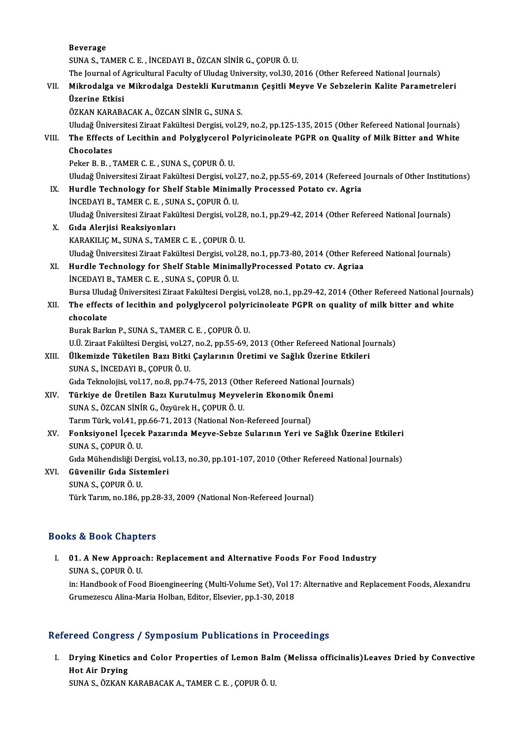Beverage SUNAS.,TAMERC.E. , İNCEDAYIB.,ÖZCANSİNİRG.,ÇOPURÖ.U. The Journal of Agricultural Faculty of Uludag University, vol.30, 2016 (Other Refereed National Journals) SUNA S., TAMER C. E. , İNCEDAYI B., ÖZCAN SİNİR G., ÇOPUR Ö. U.<br>The Journal of Agricultural Faculty of Uludag University, vol.30, 2016 (Other Refereed National Journals)<br>VII. Mikrodalga ve Mikrodalga Destekli Kurutmanı The Journal of A<br>Mikrodalga ve<br>Üzerine Etkisi<br>ÖZKAN KARARA Mikrodalga ve Mikrodalga Destekli Kurutma<br>Üzerine Etkisi<br>ÖZKAN KARABACAK A., ÖZCAN SİNİR G., SUNA S.<br>Uludağ Üniversitesi Ziraat Fakültesi Dergisi, vel 21 <mark>Üzerine Etkisi</mark><br>ÖZKAN KARABACAK A., ÖZCAN SİNİR G., SUNA S.<br>Uludağ Üniversitesi Ziraat Fakültesi Dergisi, vol.29, no.2, pp.125-135, 2015 (Other Refereed National Journals)<br>The Effects of Lasithin and Bolyglycerel Bolygisi ÖZKAN KARABACAK A., ÖZCAN SİNİR G., SUNA S.<br>Uludağ Üniversitesi Ziraat Fakültesi Dergisi, vol.29, no.2, pp.125-135, 2015 (Other Refereed National Journals)<br>VIII. The Effects of Lecithin and Polyglycerol Polyricinoleate Uludağ Ünive<br>The Effects<br>Chocolates<br>Peker B. B. Peker B.B., TAMER C.E., SUNAS., ÇOPURÖ.U. Chocolates<br>Peker B. B. , TAMER C. E. , SUNA S., ÇOPUR Ö. U.<br>Uludağ Üniversitesi Ziraat Fakültesi Dergisi, vol.27, no.2, pp.55-69, 2014 (Refereed Journals of Other Institutions)<br>Hundle Teshnology for Shelf Stable Minimelly Peker B. B. , TAMER C. E. , SUNA S., ÇOPUR Ö. U.<br>Uludağ Üniversitesi Ziraat Fakültesi Dergisi, vol.27, no.2, pp.55-69, 2014 (Refereed<br>IX. Hurdle Technology for Shelf Stable Minimally Processed Potato cv. Agria<br>INCEDAVI B. Uludağ Üniversitesi Ziraat Fakültesi Dergisi, vol.2<br>Hurdle Technology for Shelf Stable Minima<br>İNCEDAYI B., TAMER C. E. , SUNA S., ÇOPUR Ö. U.<br>Uludağ Üniversitesi Ziraat Fakültesi Dergisi vol.2 Hurdle Technology for Shelf Stable Minimally Processed Potato cv. Agria<br>İNCEDAYI B., TAMER C. E. , SUNA S., ÇOPUR Ö. U.<br>Uludağ Üniversitesi Ziraat Fakültesi Dergisi, vol.28, no.1, pp.29-42, 2014 (Other Refereed National Jo İNCEDAYI B., TAMER C. E. , SUNA S., ÇOPUR Ö. U.<br>Uludağ Üniversitesi Ziraat Fakültesi Dergisi, vol.28<br>X. Gıda Alerjisi Reaksiyonları<br>KARAKILIÇ M., SUNA S., TAMER C. E. , ÇOPUR Ö. U. Uludağ Üniversitesi Ziraat Fakültesi Dergisi, vol.28<br>Gıda Alerjisi Reaksiyonları<br>KARAKILIÇ M., SUNA S., TAMER C. E. , ÇOPUR Ö. U.<br>Uludağ Üniversitesi Zirast Fakültesi Dergisi vol.28 Gıda Alerjisi Reaksiyonları<br>KARAKILIÇ M., SUNA S., TAMER C. E. , ÇOPUR Ö. U.<br>Uludağ Üniversitesi Ziraat Fakültesi Dergisi, vol.28, no.1, pp.73-80, 2014 (Other Refereed National Journals)<br>Hundle Teshnology for Shelf Stable KARAKILIÇ M., SUNA S., TAMER C. E. , ÇOPUR Ö. U.<br>Uludağ Üniversitesi Ziraat Fakültesi Dergisi, vol.28, no.1, pp.73-80, 2014 (Other Refe<br>XI. Hurdle Technology for Shelf Stable MinimallyProcessed Potato cv. Agriaa<br>INCEDAVI B Hurdle Technology for Shelf Stable MinimallyProcessed Potato cv. Agriaa INCEDAYI B., TAMER C. E., SUNAS., ÇOPUR Ö. U. Hurdle Technology for Shelf Stable MinimallyProcessed Potato cv. Agriaa<br>İNCEDAYI B., TAMER C. E. , SUNA S., ÇOPUR Ö. U.<br>Bursa Uludağ Üniversitesi Ziraat Fakültesi Dergisi, vol.28, no.1, pp.29-42, 2014 (Other Refereed Natio INCEDAYI B., TAMER C. E. , SUNA S., ÇOPUR Ö. U.<br>Bursa Uludağ Üniversitesi Ziraat Fakültesi Dergisi, vol.28, no.1, pp.29-42, 2014 (Other Refereed National Jour<br>XII. The effects of lecithin and polyglycerol polyricinolea Bursa Ulud<br>The effect<br>chocolate<br><sup>Bursk Bark</sup> The effects of lecithin and polyglycerol polyricinoleate PGPR on quality of milk bitter and white chocolate<br>chocolate<br>Burak Barkın P., SUNA S., TAMER C. E. , ÇOPUR Ö. U. chocolate<br>Burak Barkın P., SUNA S., TAMER C. E. , ÇOPUR Ö. U.<br>U.Ü. Ziraat Fakültesi Dergisi, vol.27, no.2, pp.55-69, 2013 (Other Refereed National Journals)<br>Ülkominde Tüketilen Begu Bitki Caylonunu Ünetimi ve Sağlık Ünenin Burak Barkın P., SUNA S., TAMER C. E. , ÇOPUR Ö. U.<br>U.Ü. Ziraat Fakültesi Dergisi, vol.27, no.2, pp.55-69, 2013 (Other Refereed National Jo<br>XIII. Ülkemizde Tüketilen Bazı Bitki Çaylarının Üretimi ve Sağlık Üzerine Etki U.Ü. Ziraat Fakültesi Dergisi, vol.27<br><mark>Ülkemizde Tüketilen Bazı Bitki</mark><br>SUNA S., İNCEDAYI B., ÇOPUR Ö. U.<br>Cıda Telmolajisi vol.17, no.8, nn.74 Ülkemizde Tüketilen Bazı Bitki Çaylarının Üretimi ve Sağlık Üzerine Etkileri<br>SUNA S., İNCEDAYI B., ÇOPUR Ö. U.<br>Gıda Teknolojisi, vol.17, no.8, pp.74-75, 2013 (Other Refereed National Journals) SUNA S., İNCEDAYI B., ÇOPUR Ö. U.<br>Gıda Teknolojisi, vol.17, no.8, pp.74-75, 2013 (Other Refereed National Journal V.<br>XIV. Türkiye de Üretilen Bazı Kurutulmuş Meyvelerin Ekonomik Önemi<br>SUNA S. ÖZGAN SİNİR G. Özgünek H. GOPU SUNAS.,ÖZCANSİNİRG.,ÖzyürekH.,ÇOPURÖ.U. Türkiye de Üretilen Bazı Kurutulmuş Meyvelerin Ekonomik Ö<br>SUNA S., ÖZCAN SİNİR G., Özyürek H., ÇOPUR Ö. U.<br>Tarım Türk, vol.41, pp.66-71, 2013 (National Non-Refereed Journal)<br>Fonksiyonal İsasak Bazanında Moyye Sabra Sulanın XV. Fonksiyonel İçecek Pazarında Meyve-Sebze Sularının Yeri ve Sağlık Üzerine Etkileri<br>SUNA S., ÇOPUR Ö. U. Tarım Türk, vol.41, pp.66-71, 2013 (National Non-Refereed Journal) Fonksiyonel İçecek Pazarında Meyve-Sebze Sularının Yeri ve Sağlık Üzerine Etkileri<br>SUNA S., ÇOPUR Ö. U.<br>Gıda Mühendisliği Dergisi, vol.13, no.30, pp.101-107, 2010 (Other Refereed National Journals)<br>Güyenilir Cıda Sistemler XVI. Güvenilir Gıda Sistemleri Gıda Mühendisliği De<br>Güvenilir Gıda Sist<br>SUNA S., ÇOPUR Ö. U.<br>Türk Terum ne 196. r Türk Tarım, no.186, pp.28-33, 2009 (National Non-Refereed Journal)

### Books&Book Chapters

ooks & Book Chapters<br>I. 01. A New Approach: Replacement and Alternative Foods For Food Industry<br>SINA S. COPUP Ö.U sulate book dialections<br>10. A New Approach<br>SUNA S., COPUR Ö. U.

01. A New Approach: Replacement and Alternative Foods For Food Industry<br>SUNA S., ÇOPUR Ö. U.<br>in: Handbook of Food Bioengineering (Multi-Volume Set), Vol 17: Alternative and Replacement Foods, Alexandru<br>Crumerescu Aline Mer SUNA S., ÇOPUR Ö. U.<br>in: Handbook of Food Bioengineering (Multi-Volume Set), Vol 17<br>Grumezescu Alina-Maria Holban, Editor, Elsevier, pp.1-30, 2018

# Grumezescu Alina-Maria Holban, Editor, Elsevier, pp.1-30, 2018<br>Refereed Congress / Symposium Publications in Proceedings

efereed Congress / Symposium Publications in Proceedings<br>I. Drying Kinetics and Color Properties of Lemon Balm (Melissa officinalis)Leaves Dried by Convective<br>Het Air Drying Drying Kinetics<br>Drying Kinetics<br>Hot Air Drying<br>SUNA S. ÖZKAN I Drying Kinetics and Color Properties of Lemon Balr<br>Hot Air Drying<br>SUNA S., ÖZKAN KARABACAK A., TAMER C. E. , ÇOPUR Ö. U.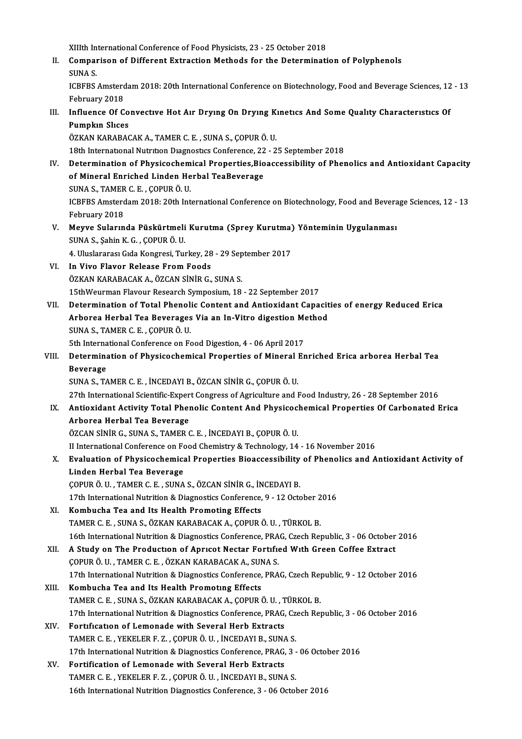XIIIth International Conference of Food Physicists, 23 - 25 October 2018<br>Companison of Different Extraction Methods for the Determinati II. Comparison of Different Extraction Methods for the Determination of Polyphenols<br>SUNA S. XIIIth In<br>Compai<br>SUNA S.<br>ICPEPS Comparison of Different Extraction Methods for the Determination of Polyphenols<br>SUNA S.<br>ICBFBS Amsterdam 2018: 20th International Conference on Biotechnology, Food and Beverage Sciences, 12 - 13<br>February 2019 SUNA S.<br>ICBFBS Amsterd<br>February 2018<br>Influance Of C ICBFBS Amsterdam 2018: 20th International Conference on Biotechnology, Food and Beverage Sciences, 12<br>February 2018<br>III. Influence Of Convective Hot Air Drying On Drying Kinetics And Some Quality Characteristics Of<br>Pumplin February 2018<br>Influence Of Co<br>Pumpkın Slıces<br>ÖZKAN KARARAC Influence Of Convective Hot Air Drying On Drying K<br>Pumpkin Slices<br>ÖZKAN KARABACAK A., TAMER C. E. , SUNA S., ÇOPUR Ö. U.<br>19th International Nutrition Diagnestics Conference 22, 2 Pumpkın Slices<br>ÖZKAN KARABACAK A., TAMER C. E. , SUNA S., ÇOPUR Ö. U.<br>18th International Nutrition Diagnostics Conference, 22 - 25 September 2018 ÖZKAN KARABACAK A., TAMER C. E. , SUNA S., ÇOPUR Ö. U.<br>18th International Nutrition Diagnostics Conference, 22 - 25 September 2018<br>IV. Determination of Physicochemical Properties,Bioaccessibility of Phenolics and Antioxida 18th International Nutrition Diagnostics Conference, 22<br>Determination of Physicochemical Properties,Bio<br>of Mineral Enriched Linden Herbal TeaBeverage<br>SUNA S. TAMER C.E., COBUR Ö.U. Determination of Physicochem<br>of Mineral Enriched Linden He<br>SUNA S., TAMER C. E. , ÇOPUR Ö. U.<br>ICBEBS Amstardam 2019, 20th Int of Mineral Enriched Linden Herbal TeaBeverage<br>30NA S., TAMER C. E. , ÇOPUR Ö. U.<br>ICBFBS Amsterdam 2018: 20th International Conference on Biotechnology, Food and Beverage Sciences, 12 - 13 February 2018 ICBFBS Amsterdam 2018: 20th International Conference on Biotechnology, Food and Bevera<br>February 2018<br>V. Meyve Sularında Püskürtmeli Kurutma (Sprey Kurutma) Yönteminin Uygulanması<br>SUNA S. Sobin K.C. COPUP Ö.U. February 2018<br><mark>Meyve Sularında Püskürtmeli</mark><br>SUNA S., Şahin K. G. , ÇOPUR Ö. U.<br>4. Uluslararesı Gıda Konsresi Tur Meyve Sularında Püskürtmeli Kurutma (Sprey Kurutma)<br>SUNA S., Şahin K. G. , ÇOPUR Ö. U.<br>4. Uluslararası Gıda Kongresi, Turkey, 28 - 29 September 2017<br>In Vive Elever Belesse Erem Feeds SUNA S., Şahin K. G. , ÇOPUR Ö. U.<br>4. Uluslararası Gıda Kongresi, Turkey, 28 - 29 Sep<br>VI. In Vivo Flavor Release From Foods<br>ÖZKAN KARABACAK A., ÖZCAN SİNİR G., SUNA S. 4. Uluslararası Gıda Kongresi, Turkey, 28 - 29 September 2017 In Vivo Flavor Release From Foods<br>ÖZKAN KARABACAK A., ÖZCAN SİNİR G., SUNA S.<br>15thWeurman Flavour Research Symposium, 18 - 22 September 2017<br>Determination of Total Phonolis Content and Antioxident Cana VII. Determination of Total Phenolic Content and Antioxidant Capacities of energy Reduced Erica 15thWeurman Flavour Research Symposium, 18 - 22 September 2017<br>Determination of Total Phenolic Content and Antioxidant Capacit<br>Arborea Herbal Tea Beverages Via an In-Vitro digestion Method<br>SUNA S. TAMER C. E. COPUR Ö. U SUNA S., TAMER C. E., ÇOPUR Ö. U.<br>5th International Conference on Food Digestion, 4 - 06 April 2017 Arborea Herbal Tea Beverages Via an In-Vitro digestion Method SUNA S., TAMER C. E. , ÇOPUR Ö. U.<br>5th International Conference on Food Digestion, 4 - 06 April 2017<br>VIII. Determination of Physicochemical Properties of Mineral Enriched Erica arborea Herbal Tea<br> 5th Interna<br>Determina<br>Beverage<br>SUNA S. T4 Determination of Physicochemical Properties of Mineral I<br>Beverage<br>SUNA S., TAMER C. E. , İNCEDAYI B., ÖZCAN SİNİR G., ÇOPUR Ö. U.<br>27th International Scientific Expert Congress of Agriculture and I Beverage<br>27th International Scientific-Expert Congress of Agriculture and Food Industry, 26 - 28 September 2016<br>27th International Scientific-Expert Congress of Agriculture and Food Industry, 26 - 28 September 2016 SUNA S., TAMER C. E. , İNCEDAYI B., ÖZCAN SİNİR G., ÇOPUR Ö. U.<br>27th International Scientific-Expert Congress of Agriculture and Food Industry, 26 - 28 September 2016<br>IX. Antioxidant Activity Total Phenolic Content And Phy 27th International Scientific-Exper<br>Antioxidant Activity Total Pher<br>Arborea Herbal Tea Beverage<br>ÖZCAN SİNİB C. SINA S. TAMER G Antioxidant Activity Total Phenolic Content And Physicoc.<br>Arborea Herbal Tea Beverage<br>ÖZCAN SİNİR G., SUNA S., TAMER C. E. , İNCEDAYI B., ÇOPUR Ö. U.<br>U International Conference en Food Chemistry & Technology, 14 Arborea Herbal Tea Beverage<br>ÖZCAN SİNİR G., SUNA S., TAMER C. E. , İNCEDAYI B., ÇOPUR Ö. U.<br>II International Conference on Food Chemistry & Technology, 14 - 16 November 2016<br>Evaluation of Physicochemical Proportics Bioacce ÖZCAN SİNİR G., SUNA S., TAMER C. E. , İNCEDAYI B., ÇOPUR Ö. U.<br>II International Conference on Food Chemistry & Technology, 14 - 16 November 2016<br>X. Evaluation of Physicochemical Properties Bioaccessibility of Phenolics an II International Conference on F<br>Evaluation of Physicochemica<br>Linden Herbal Tea Beverage<br>COPUP Ö UL TAMER C EL SUNA ÇOPURÖ.U. ,TAMERC.E. ,SUNAS.,ÖZCANSİNİRG., İNCEDAYIB. 17th International Nutrition & Diagnostics Conference, 9 - 12 October 2016 XI. Kombucha Tea and Its Health Promoting Effects TAMERC.E. ,SUNAS.,ÖZKANKARABACAKA.,ÇOPURÖ.U. ,TÜRKOLB. Kombucha Tea and Its Health Promoting Effects<br>TAMER C. E. , SUNA S., ÖZKAN KARABACAK A., ÇOPUR Ö. U. , TÜRKOL B.<br>16th International Nutrition & Diagnostics Conference, PRAG, Czech Republic, 3 - 06 October 2016<br>A Study on T TAMER C. E. , SUNA S., ÖZKAN KARABACAK A., ÇOPUR Ö. U. , TÜRKOL B.<br>16th International Nutrition & Diagnostics Conference, PRAG, Czech Republic, 3 - 06 October<br>XII. A Study on The Production of Apricot Nectar Fortified With XII. A Study on The Production of Apricot Nectar Fortified With Green Coffee Extract COPUR Ö. U., TAMER C. E., ÖZKAN KARABACAK A., SUNA S. A Study on The Production of Apricot Nectar Fortified With Green Coffee Extract<br>COPUR Ö. U. , TAMER C. E. , ÖZKAN KARABACAK A., SUNA S.<br>17th International Nutrition & Diagnostics Conference, PRAG, Czech Republic, 9 - 12 Oc XIII. Kombucha Tea and Its Health Promoting Effects 17th International Nutrition & Diagnostics Conference, PRAG, Czech Rep<br>Kombucha Tea and Its Health Promoting Effects<br>TAMER C. E. , SUNA S., ÖZKAN KARABACAK A., ÇOPUR Ö. U. , TÜRKOL B.<br>17th International Nutrition & Diagnos 17th International Nutrition & Diagnostics Conference, PRAG, Czech Republic, 3 - 06 October 2016<br>Fortification of Lemonade with Several Herb Extracts TAMER C. E. , SUNA S., ÖZKAN KARABACAK A., ÇOPUR Ö. U. , TÜRKOL B.<br>17th International Nutrition & Diagnostics Conference, PRAG, Czech Rej<br>XIV. Fortification of Lemonade with Several Herb Extracts TAMERC.E. ,YEKELERF.Z. ,ÇOPURÖ.U. , İNCEDAYIB.,SUNAS. Fortification of Lemonade with Several Herb Extracts<br>TAMER C. E. , YEKELER F. Z. , ÇOPUR Ö. U. , İNCEDAYI B., SUNA S.<br>17th International Nutrition & Diagnostics Conference, PRAG, 3 - 06 October 2016<br>Fortification of Lomona TAMER C. E., YEKELER F. Z., ÇOPUR Ö. U., İNCEDAYI B., SUNA<br>17th International Nutrition & Diagnostics Conference, PRAG,<br>XV. Fortification of Lemonade with Several Herb Extracts<br>TAMER C. E., YEVELER E. Z., COPUR Ö. U., İNCE 17th International Nutrition & Diagnostics Conference, PRAG, 3 -<br>Fortification of Lemonade with Several Herb Extracts<br>TAMER C. E. , YEKELER F. Z. , ÇOPUR Ö. U. , İNCEDAYI B., SUNA S.<br>16th International Nutrition Diagnostic Fortification of Lemonade with Several Herb Extracts<br>TAMER C. E., YEKELER F. Z., ÇOPUR Ö. U., İNCEDAYI B., SUNA S.<br>16th International Nutrition Diagnostics Conference, 3 - 06 October 2016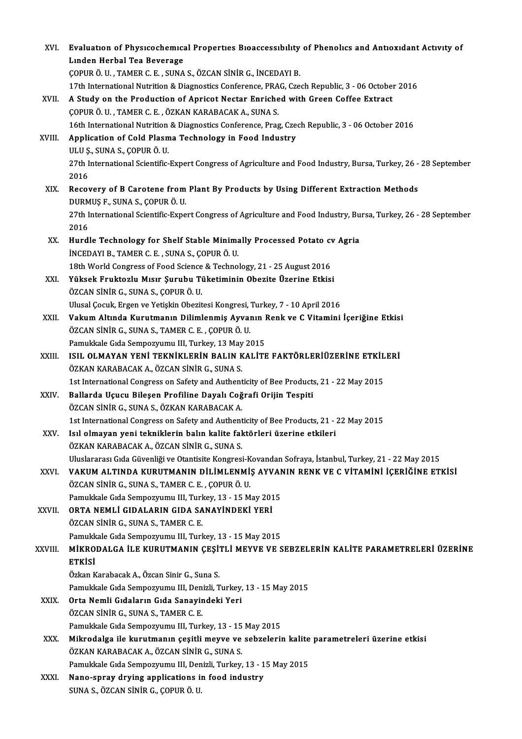|         | Evaluation of Physicochemical Properties Bioaccessibility of Phenolics and Antioxidant Activity of                                        |
|---------|-------------------------------------------------------------------------------------------------------------------------------------------|
| XVI.    | Linden Herbal Tea Beverage                                                                                                                |
|         | ÇOPUR Ö. U., TAMER C. E., SUNA S., ÖZCAN SİNİR G., İNCEDAYI B.                                                                            |
|         | 17th International Nutrition & Diagnostics Conference, PRAG, Czech Republic, 3 - 06 October 2016                                          |
| XVII.   | A Study on the Production of Apricot Nectar Enriched with Green Coffee Extract                                                            |
|         | ÇOPUR Ö. U., TAMER C. E., ÖZKAN KARABACAK A., SUNA S.                                                                                     |
|         | 16th International Nutrition & Diagnostics Conference, Prag, Czech Republic, 3 - 06 October 2016                                          |
| XVIII.  | Application of Cold Plasma Technology in Food Industry                                                                                    |
|         | ULU Ș., SUNA S., ÇOPUR Ö. U.                                                                                                              |
|         | 27th International Scientific-Expert Congress of Agriculture and Food Industry, Bursa, Turkey, 26 - 28 September                          |
|         | 2016                                                                                                                                      |
| XIX.    | Recovery of B Carotene from Plant By Products by Using Different Extraction Methods                                                       |
|         | DURMUŞ F., SUNA S., ÇOPUR Ö. U.                                                                                                           |
|         | 27th International Scientific-Expert Congress of Agriculture and Food Industry, Bursa, Turkey, 26 - 28 September                          |
|         | 2016                                                                                                                                      |
| XX.     | Hurdle Technology for Shelf Stable Minimally Processed Potato cv Agria                                                                    |
|         | INCEDAYI B., TAMER C. E., SUNA S., ÇOPUR Ö. U.                                                                                            |
| XXI.    | 18th World Congress of Food Science & Technology, 21 - 25 August 2016<br>Yüksek Fruktozlu Mısır Şurubu Tüketiminin Obezite Üzerine Etkisi |
|         | ÖZCAN SİNİR G., SUNA S., ÇOPUR Ö. U.                                                                                                      |
|         | Ulusal Çocuk, Ergen ve Yetişkin Obezitesi Kongresi, Turkey, 7 - 10 April 2016                                                             |
| XXII.   | Vakum Altında Kurutmanın Dilimlenmiş Ayvanın Renk ve C Vitamini İçeriğine Etkisi                                                          |
|         | ÖZCAN SİNİR G., SUNA S., TAMER C. E., ÇOPUR Ö. U.                                                                                         |
|         | Pamukkale Gida Sempozyumu III, Turkey, 13 May 2015                                                                                        |
| XXIII.  | ISIL OLMAYAN YENİ TEKNİKLERİN BALIN KALİTE FAKTÖRLERİÜZERİNE ETKİLERİ                                                                     |
|         | ÖZKAN KARABACAK A., ÖZCAN SİNİR G., SUNA S.                                                                                               |
|         | 1st International Congress on Safety and Authenticity of Bee Products, 21 - 22 May 2015                                                   |
| XXIV    | Ballarda Uçucu Bileşen Profiline Dayalı Coğrafi Orijin Tespiti                                                                            |
|         | ÖZCAN SİNİR G. SUNA S. ÖZKAN KARABACAK A.                                                                                                 |
|         | 1st International Congress on Safety and Authenticity of Bee Products, 21 - 22 May 2015                                                   |
| XXV.    | Isıl olmayan yeni tekniklerin balın kalite faktörleri üzerine etkileri                                                                    |
|         | ÖZKAN KARABACAK A., ÖZCAN SİNİR G., SUNA S.                                                                                               |
|         | Uluslararası Gıda Güvenliği ve Otantisite Kongresi-Kovandan Sofraya, İstanbul, Turkey, 21 - 22 May 2015                                   |
| XXVI.   | VAKUM ALTINDA KURUTMANIN DİLİMLENMİŞ AYVANIN RENK VE C VİTAMİNİ İÇERİĞİNE ETKİSİ                                                          |
|         | ÖZCAN SİNİR G., SUNA S., TAMER C. E., ÇOPUR Ö. U.<br>Pamukkale Gida Sempozyumu III, Turkey, 13 - 15 May 2015                              |
| XXVII.  | ORTA NEMLİ GIDALARIN GIDA SANAYİNDEKİ YERİ                                                                                                |
|         | ÖZCAN SİNİR G., SUNA S., TAMER C. E.                                                                                                      |
|         | Pamukkale Gida Sempozyumu III, Turkey, 13 - 15 May 2015                                                                                   |
| XXVIII. | MIKRODALGA İLE KURUTMANIN ÇEŞİTLI MEYVE VE SEBZELERİN KALITE PARAMETRELERİ ÜZERİNE                                                        |
|         | <b>ETKİSİ</b>                                                                                                                             |
|         | Özkan Karabacak A., Özcan Sinir G., Suna S.                                                                                               |
|         | Pamukkale Gıda Sempozyumu III, Denizli, Turkey, 13 - 15 May 2015                                                                          |
| XXIX.   | Orta Nemli Gıdaların Gıda Sanayindeki Yeri                                                                                                |
|         | ÖZCAN SİNİR G., SUNA S., TAMER C. E.                                                                                                      |
|         | Pamukkale Gida Sempozyumu III, Turkey, 13 - 15 May 2015                                                                                   |
| XXX.    | Mikrodalga ile kurutmanın çeşitli meyve ve sebzelerin kalite parametreleri üzerine etkisi                                                 |
|         | ÖZKAN KARABACAK A., ÖZCAN SİNİR G., SUNA S.                                                                                               |
|         | Pamukkale Gıda Sempozyumu III, Denizli, Turkey, 13 - 15 May 2015                                                                          |
| XXXI.   | Nano-spray drying applications in food industry                                                                                           |
|         | SUNA S., ÖZCAN SİNİR G., ÇOPUR Ö. U.                                                                                                      |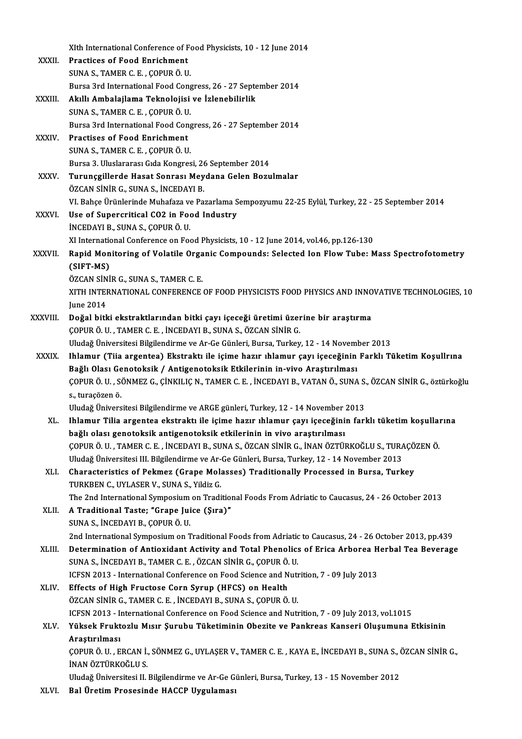|              | XIth International Conference of Food Physicists, 10 - 12 June 2014                                                                                                           |
|--------------|-------------------------------------------------------------------------------------------------------------------------------------------------------------------------------|
| XXXII.       | <b>Practices of Food Enrichment</b>                                                                                                                                           |
|              | SUNA S., TAMER C. E., ÇOPUR Ö. U.                                                                                                                                             |
|              | Bursa 3rd International Food Congress, 26 - 27 September 2014                                                                                                                 |
| XXXIII.      | Akıllı Ambalajlama Teknolojisi ve İzlenebilirlik                                                                                                                              |
|              | SUNA S., TAMER C. E., ÇOPUR Ö. U.                                                                                                                                             |
|              | Bursa 3rd International Food Congress, 26 - 27 September 2014                                                                                                                 |
| XXXIV.       | <b>Practises of Food Enrichment</b>                                                                                                                                           |
|              | SUNA S., TAMER C. E., COPUR Ö. U.                                                                                                                                             |
|              | Bursa 3. Uluslararası Gıda Kongresi, 26 September 2014                                                                                                                        |
| <b>XXXV</b>  | Turunçgillerde Hasat Sonrası Meydana Gelen Bozulmalar                                                                                                                         |
|              | ÖZCAN SİNİR G., SUNA S., İNCEDAYI B.                                                                                                                                          |
| <b>XXXVI</b> | VI. Bahçe Ürünlerinde Muhafaza ve Pazarlama Sempozyumu 22-25 Eylül, Turkey, 22 - 25 September 2014<br>Use of Supercritical CO2 in Food Industry                               |
|              | INCEDAYI B., SUNA S., COPUR Ö. U.                                                                                                                                             |
|              | XI International Conference on Food Physicists, 10 - 12 June 2014, vol 46, pp.126-130                                                                                         |
| XXXVII.      | Rapid Monitoring of Volatile Organic Compounds: Selected Ion Flow Tube: Mass Spectrofotometry                                                                                 |
|              | (SIFT-MS)                                                                                                                                                                     |
|              | ÖZCAN SİNİR G., SUNA S., TAMER C. E.                                                                                                                                          |
|              | XITH INTERNATIONAL CONFERENCE OF FOOD PHYSICISTS FOOD PHYSICS AND INNOVATIVE TECHNOLOGIES, 10                                                                                 |
|              | <b>June 2014</b>                                                                                                                                                              |
| XXXVIII.     | Doğal bitki ekstraktlarından bitki çayı içeceği üretimi üzerine bir araştırma                                                                                                 |
|              | ÇOPUR Ö. U., TAMER C. E., İNCEDAYI B., SUNA S., ÖZCAN SİNİR G.                                                                                                                |
|              | Uludağ Üniversitesi Bilgilendirme ve Ar-Ge Günleri, Bursa, Turkey, 12 - 14 November 2013                                                                                      |
| <b>XXXIX</b> | Ihlamur (Tiia argentea) Ekstraktı ile içime hazır ıhlamur çayı içeceğinin Farklı Tüketim Koşullrına                                                                           |
|              | Bağlı Olası Genotoksik / Antigenotoksik Etkilerinin in-vivo Araştırılması                                                                                                     |
|              | ÇOPUR Ö. U. , SÖNMEZ G., ÇİNKILIÇ N., TAMER C. E. , İNCEDAYI B., VATAN Ö., SUNA S., ÖZCAN SİNİR G., öztürkoğlu                                                                |
|              | s, turaçözen ö.                                                                                                                                                               |
|              | Uludağ Üniversitesi Bilgilendirme ve ARGE günleri, Turkey, 12 - 14 November 2013                                                                                              |
| XL.          | Ihlamur Tilia argentea ekstraktı ile içime hazır ıhlamur çayı içeceğinin farklı tüketim koşullarına                                                                           |
|              | bağlı olası genotoksik antigenotoksik etkilerinin in vivo araştırılması<br>ÇOPUR Ö. U. , TAMER C. E. , İNCEDAYI B., SUNA S., ÖZCAN SİNİR G., İNAN ÖZTÜRKOĞLU S., TURAÇÖZEN Ö. |
|              | Uludağ Üniversitesi III. Bilgilendirme ve Ar-Ge Günleri, Bursa, Turkey, 12 - 14 November 2013                                                                                 |
| XLI.         | Characteristics of Pekmez (Grape Molasses) Traditionally Processed in Bursa, Turkey                                                                                           |
|              | TURKBEN C., UYLASER V., SUNA S., Yildiz G.                                                                                                                                    |
|              | The 2nd International Symposium on Traditional Foods From Adriatic to Caucasus, 24 - 26 October 2013                                                                          |
| XLII.        | A Traditional Taste; "Grape Juice (Şıra)"                                                                                                                                     |
|              | SUNA S., İNCEDAYI B., ÇOPUR Ö. U.                                                                                                                                             |
|              | 2nd International Symposium on Traditional Foods from Adriatic to Caucasus, 24 - 26 October 2013, pp.439                                                                      |
| XLIII.       | Determination of Antioxidant Activity and Total Phenolics of Erica Arborea Herbal Tea Beverage                                                                                |
|              | SUNA S., İNCEDAYI B., TAMER C. E., ÖZCAN SİNİR G., ÇOPUR Ö. U.                                                                                                                |
|              | ICFSN 2013 - International Conference on Food Science and Nutrition, 7 - 09 July 2013                                                                                         |
| XLIV.        | Effects of High Fructose Corn Syrup (HFCS) on Health                                                                                                                          |
|              | ÖZCAN SİNİR G., TAMER C. E. , İNCEDAYI B., SUNA S., ÇOPUR Ö. U.                                                                                                               |
|              | ICFSN 2013 - International Conference on Food Science and Nutrition, 7 - 09 July 2013, vol.1015                                                                               |
| XLV.         | Yüksek Fruktozlu Mısır Şurubu Tüketiminin Obezite ve Pankreas Kanseri Oluşumuna Etkisinin                                                                                     |
|              | Araştırılması                                                                                                                                                                 |
|              | ÇOPUR Ö. U. , ERCAN İ., SÖNMEZ G., UYLAŞER V., TAMER C. E. , KAYA E., İNCEDAYI B., SUNA S., ÖZCAN SİNİR G.,<br>İNAN ÖZTÜRKOĞLU S.                                             |
|              | Uludağ Üniversitesi II. Bilgilendirme ve Ar-Ge Günleri, Bursa, Turkey, 13 - 15 November 2012                                                                                  |
| VI VI        | <b>Pal Ünetim Processinde HACCD Hygulamosi</b>                                                                                                                                |

XLVI. Bal Üretim Prosesinde HACCP Uygulaması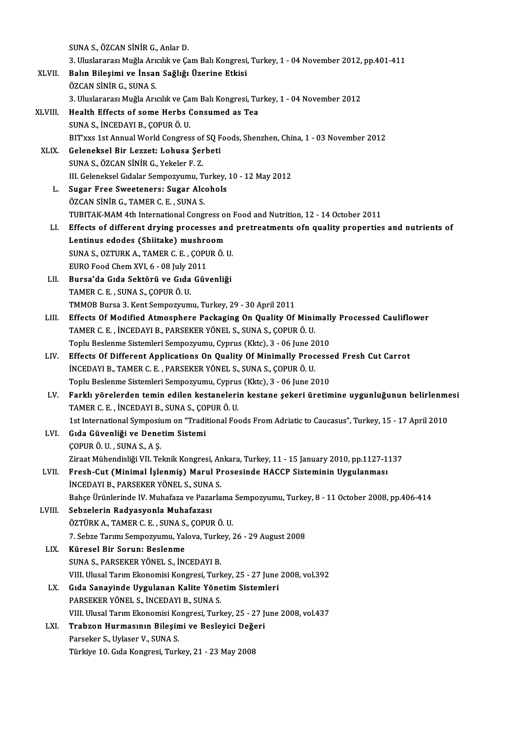|         | SUNA S., ÖZCAN SİNİR G., Anlar D.                                                                                                                             |
|---------|---------------------------------------------------------------------------------------------------------------------------------------------------------------|
|         | 3. Uluslararası Muğla Arıcılık ve Çam Balı Kongresi, Turkey, 1 - 04 November 2012, pp.401-411                                                                 |
| XLVII.  | Balın Bileşimi ve İnsan Sağlığı Üzerine Etkisi                                                                                                                |
|         | ÖZCAN SİNİR G., SUNA S.                                                                                                                                       |
|         | 3. Uluslararası Muğla Arıcılık ve Çam Balı Kongresi, Turkey, 1 - 04 November 2012                                                                             |
| XLVIII. | Health Effects of some Herbs Consumed as Tea                                                                                                                  |
|         | SUNA S., İNCEDAYI B., ÇOPUR Ö. U.                                                                                                                             |
|         | BIT'xxs 1st Annual World Congress of SQ Foods, Shenzhen, China, 1 - 03 November 2012                                                                          |
| XLIX.   | Geleneksel Bir Lezzet: Lohusa Şerbeti                                                                                                                         |
|         | SUNA S., ÖZCAN SİNİR G., Yekeler F. Z.                                                                                                                        |
|         | III. Geleneksel Gıdalar Sempozyumu, Turkey, 10 - 12 May 2012                                                                                                  |
| L.      | <b>Sugar Free Sweeteners: Sugar Alcohols</b>                                                                                                                  |
|         | ÖZCAN SİNİR G., TAMER C. E., SUNA S.                                                                                                                          |
|         | TUBITAK-MAM 4th International Congress on Food and Nutrition, 12 - 14 October 2011                                                                            |
| LI.     | Effects of different drying processes and pretreatments ofn quality properties and nutrients of                                                               |
|         | Lentinus edodes (Shiitake) mushroom                                                                                                                           |
|         | SUNA S., OZTURK A., TAMER C. E., COPUR Ö. U.                                                                                                                  |
|         | EURO Food Chem XVI, 6 - 08 July 2011                                                                                                                          |
| LII.    | Bursa'da Gıda Sektörü ve Gıda Güvenliği                                                                                                                       |
|         | TAMER C. E., SUNA S., ÇOPUR Ö. U.                                                                                                                             |
|         | TMMOB Bursa 3. Kent Sempozyumu, Turkey, 29 - 30 April 2011                                                                                                    |
| LIII.   | Effects Of Modified Atmosphere Packaging On Quality Of Minimally Processed Cauliflower                                                                        |
|         | TAMER C. E., İNCEDAYI B., PARSEKER YÖNEL S., SUNA S., ÇOPUR Ö. U.                                                                                             |
|         | Toplu Beslenme Sistemleri Sempozyumu, Cyprus (Kktc), 3 - 06 June 2010<br>Effects Of Different Applications On Quality Of Minimally Processed Fresh Cut Carrot |
| LIV.    | INCEDAYI B., TAMER C. E., PARSEKER YÖNEL S., SUNA S., ÇOPUR Ö. U.                                                                                             |
|         | Toplu Beslenme Sistemleri Sempozyumu, Cyprus (Kktc), 3 - 06 June 2010                                                                                         |
| LV.     | Farklı yörelerden temin edilen kestanelerin kestane şekeri üretimine uygunluğunun belirlenmesi                                                                |
|         | TAMER C. E., İNCEDAYI B., SUNA S., ÇOPUR Ö. U.                                                                                                                |
|         | 1st International Symposium on "Traditional Foods From Adriatic to Caucasus", Turkey, 15 - 17 April 2010                                                      |
| LVI.    | Gıda Güvenliği ve Denetim Sistemi                                                                                                                             |
|         | ÇOPUR Ö. U., SUNA S., A Ş.                                                                                                                                    |
|         | Ziraat Mühendisliği VII. Teknik Kongresi, Ankara, Turkey, 11 - 15 January 2010, pp.1127-1137                                                                  |
| LVII.   | Fresh-Cut (Minimal İşlenmiş) Marul Prosesinde HACCP Sisteminin Uygulanması                                                                                    |
|         | INCEDAYI B., PARSEKER YÖNEL S., SUNA S.                                                                                                                       |
|         | Bahçe Ürünlerinde IV. Muhafaza ve Pazarlama Sempozyumu, Turkey, 8 - 11 October 2008, pp.406-414                                                               |
| LVIII.  | Sebzelerin Radyasyonla Muhafazası                                                                                                                             |
|         | ÖZTÜRK A., TAMER C. E., SUNA S., ÇOPUR Ö. U.                                                                                                                  |
|         | 7. Sebze Tarımı Sempozyumu, Yalova, Turkey, 26 - 29 August 2008                                                                                               |
| LIX.    | Küresel Bir Sorun: Beslenme                                                                                                                                   |
|         | SUNA S., PARSEKER YÖNEL S., İNCEDAYI B.                                                                                                                       |
|         | VIII. Ulusal Tarım Ekonomisi Kongresi, Turkey, 25 - 27 June 2008, vol.392                                                                                     |
| LX.     | Gıda Sanayinde Uygulanan Kalite Yönetim Sistemleri                                                                                                            |
|         | PARSEKER YÖNEL S., İNCEDAYI B., SUNA S.                                                                                                                       |
|         | VIII. Ulusal Tarım Ekonomisi Kongresi, Turkey, 25 - 27 June 2008, vol.437                                                                                     |
| LXI.    | Trabzon Hurmasının Bileşimi ve Besleyici Değeri<br>Parseker S., Uylaser V., SUNA S.                                                                           |
|         | Türkiye 10. Gıda Kongresi, Turkey, 21 - 23 May 2008                                                                                                           |
|         |                                                                                                                                                               |